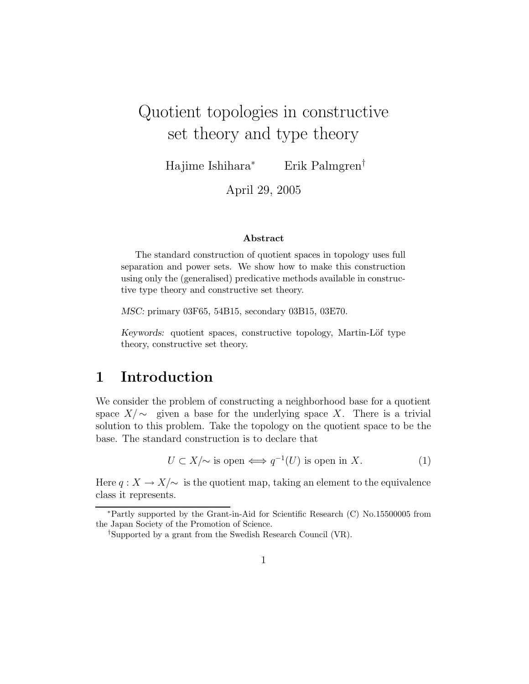# Quotient topologies in constructive set theory and type theory

Hajime Ishihara<sup>∗</sup> Erik Palmgren†

April 29, 2005

#### Abstract

The standard construction of quotient spaces in topology uses full separation and power sets. We show how to make this construction using only the (generalised) predicative methods available in constructive type theory and constructive set theory.

MSC: primary 03F65, 54B15, secondary 03B15, 03E70.

Keywords: quotient spaces, constructive topology, Martin-Löf type theory, constructive set theory.

#### 1 Introduction

We consider the problem of constructing a neighborhood base for a quotient space  $X/\sim$  given a base for the underlying space X. There is a trivial solution to this problem. Take the topology on the quotient space to be the base. The standard construction is to declare that

$$
U \subset X/\sim \text{ is open} \Longleftrightarrow q^{-1}(U) \text{ is open in } X. \tag{1}
$$

Here  $q: X \to X/\sim$  is the quotient map, taking an element to the equivalence class it represents.

<sup>∗</sup>Partly supported by the Grant-in-Aid for Scientific Research (C) No.15500005 from the Japan Society of the Promotion of Science.

<sup>†</sup>Supported by a grant from the Swedish Research Council (VR).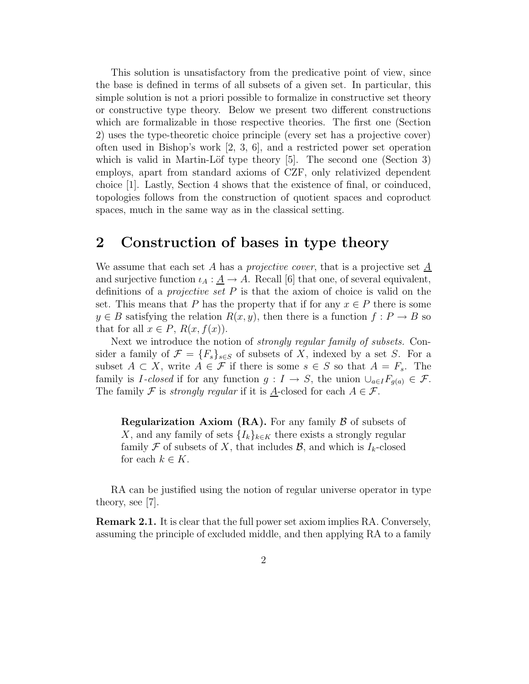This solution is unsatisfactory from the predicative point of view, since the base is defined in terms of all subsets of a given set. In particular, this simple solution is not a priori possible to formalize in constructive set theory or constructive type theory. Below we present two different constructions which are formalizable in those respective theories. The first one (Section 2) uses the type-theoretic choice principle (every set has a projective cover) often used in Bishop's work [2, 3, 6], and a restricted power set operation which is valid in Martin-Löf type theory  $[5]$ . The second one (Section 3) employs, apart from standard axioms of CZF, only relativized dependent choice [1]. Lastly, Section 4 shows that the existence of final, or coinduced, topologies follows from the construction of quotient spaces and coproduct spaces, much in the same way as in the classical setting.

#### 2 Construction of bases in type theory

We assume that each set A has a *projective cover*, that is a projective set  $\underline{A}$ and surjective function  $\iota_A : \underline{A} \to A$ . Recall [6] that one, of several equivalent, definitions of a *projective set*  $P$  is that the axiom of choice is valid on the set. This means that P has the property that if for any  $x \in P$  there is some  $y \in B$  satisfying the relation  $R(x, y)$ , then there is a function  $f : P \to B$  so that for all  $x \in P$ ,  $R(x, f(x))$ .

Next we introduce the notion of strongly regular family of subsets. Consider a family of  $\mathcal{F} = \{F_s\}_{s \in S}$  of subsets of X, indexed by a set S. For a subset  $A \subset X$ , write  $A \in \mathcal{F}$  if there is some  $s \in S$  so that  $A = F_s$ . The family is I-closed if for any function  $g: I \to S$ , the union  $\bigcup_{a \in I} F_{q(a)} \in \mathcal{F}$ . The family F is *strongly regular* if it is <u>A</u>-closed for each  $A \in \mathcal{F}$ .

**Regularization Axiom (RA).** For any family  $\beta$  of subsets of X, and any family of sets  $\{I_k\}_{k\in K}$  there exists a strongly regular family F of subsets of X, that includes B, and which is  $I_k$ -closed for each  $k \in K$ .

RA can be justified using the notion of regular universe operator in type theory, see [7].

Remark 2.1. It is clear that the full power set axiom implies RA. Conversely, assuming the principle of excluded middle, and then applying RA to a family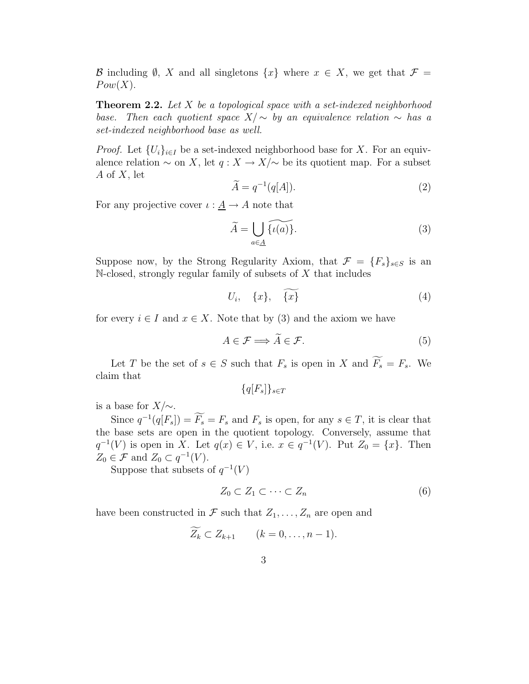B including  $\emptyset$ , X and all singletons  $\{x\}$  where  $x \in X$ , we get that  $\mathcal{F} =$  $Pow(X)$ .

**Theorem 2.2.** Let X be a topological space with a set-indexed neighborhood base. Then each quotient space  $X/\sim$  by an equivalence relation  $\sim$  has a set-indexed neighborhood base as well.

*Proof.* Let  $\{U_i\}_{i\in I}$  be a set-indexed neighborhood base for X. For an equivalence relation  $\sim$  on X, let  $q: X \to X/\sim$  be its quotient map. For a subset A of X, let

$$
\widetilde{A} = q^{-1}(q[A]). \tag{2}
$$

For any projective cover  $\iota : \underline{A} \to A$  note that

$$
\widetilde{A} = \bigcup_{a \in \underline{A}} \widetilde{\{\iota(a)\}}.
$$
\n(3)

Suppose now, by the Strong Regularity Axiom, that  $\mathcal{F} = \{F_s\}_{s \in S}$  is an N-closed, strongly regular family of subsets of X that includes

$$
U_i, \quad \{x\}, \quad \widetilde{\{x\}} \tag{4}
$$

for every  $i \in I$  and  $x \in X$ . Note that by (3) and the axiom we have

$$
A \in \mathcal{F} \Longrightarrow \widetilde{A} \in \mathcal{F}.\tag{5}
$$

Let T be the set of  $s \in S$  such that  $F_s$  is open in X and  $\widetilde{F_s} = F_s$ . We claim that

$$
\{q[F_s]\}_{s \in T}
$$

is a base for  $X/\sim$ .

Since  $q^{-1}(q[F_s]) = \widetilde{F_s} = F_s$  and  $F_s$  is open, for any  $s \in T$ , it is clear that the base sets are open in the quotient topology. Conversely, assume that  $q^{-1}(V)$  is open in X. Let  $q(x) \in V$ , i.e.  $x \in q^{-1}(V)$ . Put  $Z_0 = \{x\}$ . Then  $Z_0 \in \mathcal{F}$  and  $Z_0 \subset q^{-1}(V)$ .

Suppose that subsets of  $q^{-1}(V)$ 

$$
Z_0 \subset Z_1 \subset \cdots \subset Z_n \tag{6}
$$

have been constructed in  $\mathcal F$  such that  $Z_1, \ldots, Z_n$  are open and

$$
Z_k \subset Z_{k+1} \qquad (k=0,\ldots,n-1).
$$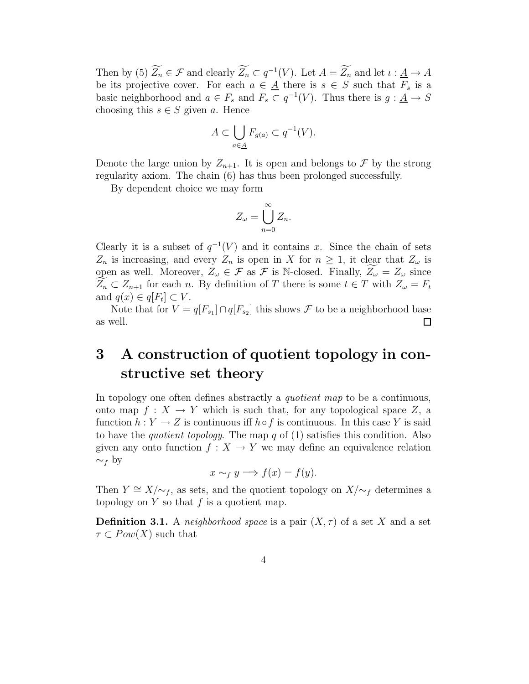Then by (5)  $\widetilde{Z_n} \in \mathcal{F}$  and clearly  $\widetilde{Z_n} \subset q^{-1}(V)$ . Let  $A = \widetilde{Z_n}$  and let  $\iota : \underline{A} \to A$ be its projective cover. For each  $a \in \underline{A}$  there is  $s \in S$  such that  $F_s$  is a basic neighborhood and  $a \in F_s$  and  $F_s \subset q^{-1}(V)$ . Thus there is  $g: \underline{A} \to S$ choosing this  $s \in S$  given a. Hence

$$
A \subset \bigcup_{a \in \underline{A}} F_{g(a)} \subset q^{-1}(V).
$$

Denote the large union by  $Z_{n+1}$ . It is open and belongs to  $\mathcal F$  by the strong regularity axiom. The chain (6) has thus been prolonged successfully.

By dependent choice we may form

$$
Z_{\omega} = \bigcup_{n=0}^{\infty} Z_n.
$$

Clearly it is a subset of  $q^{-1}(V)$  and it contains x. Since the chain of sets  $Z_n$  is increasing, and every  $Z_n$  is open in X for  $n \geq 1$ , it clear that  $Z_\omega$  is open as well. Moreover,  $Z_{\omega} \in \mathcal{F}$  as  $\mathcal{F}$  is N-closed. Finally,  $Z_{\omega} = Z_{\omega}$  since  $Z_n \subset Z_{n+1}$  for each n. By definition of T there is some  $t \in T$  with  $Z_\omega = F_t$ and  $q(x) \in q[F_t] \subset V$ .

Note that for  $V = q[F_{s_1}] \cap q[F_{s_2}]$  this shows  $\mathcal F$  to be a neighborhood base as well.  $\Box$ 

## 3 A construction of quotient topology in constructive set theory

In topology one often defines abstractly a *quotient map* to be a continuous, onto map  $f: X \to Y$  which is such that, for any topological space Z, a function  $h: Y \to Z$  is continuous iff  $h \circ f$  is continuous. In this case Y is said to have the *quotient topology*. The map q of  $(1)$  satisfies this condition. Also given any onto function  $f: X \to Y$  we may define an equivalence relation  $∼_f$  by

$$
x \sim_f y \Longrightarrow f(x) = f(y).
$$

Then  $Y \cong X/\sim_f$ , as sets, and the quotient topology on  $X/\sim_f$  determines a topology on  $Y$  so that  $f$  is a quotient map.

**Definition 3.1.** A neighborhood space is a pair  $(X, \tau)$  of a set X and a set  $\tau \subset Pow(X)$  such that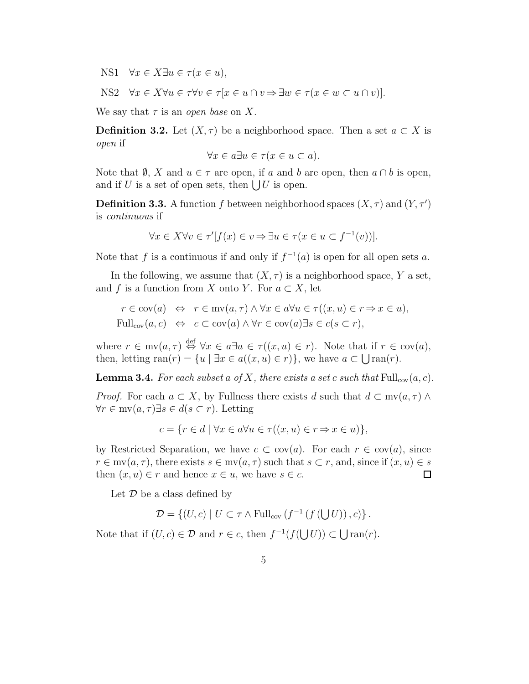NS1  $\forall x \in X \exists u \in \tau (x \in u),$ 

NS2  $\forall x \in X \forall u \in \tau \forall v \in \tau [x \in u \cap v \Rightarrow \exists w \in \tau (x \in w \subset u \cap v)].$ 

We say that  $\tau$  is an *open base* on X.

**Definition 3.2.** Let  $(X, \tau)$  be a neighborhood space. Then a set  $a \subset X$  is open if

$$
\forall x \in a \exists u \in \tau (x \in u \subset a).
$$

Note that  $\emptyset$ , X and  $u \in \tau$  are open, if a and b are open, then  $a \cap b$  is open, and if U is a set of open sets, then  $\bigcup U$  is open.

**Definition 3.3.** A function f between neighborhood spaces  $(X, \tau)$  and  $(Y, \tau')$ is continuous if

$$
\forall x \in X \forall v \in \tau'[f(x) \in v \Rightarrow \exists u \in \tau(x \in u \subset f^{-1}(v))].
$$

Note that f is a continuous if and only if  $f^{-1}(a)$  is open for all open sets a.

In the following, we assume that  $(X, \tau)$  is a neighborhood space, Y a set, and f is a function from X onto Y. For  $a \subset X$ , let

$$
r \in \text{cov}(a) \Leftrightarrow r \in \text{mv}(a, \tau) \land \forall x \in a \forall u \in \tau((x, u) \in r \Rightarrow x \in u),
$$
  
Full<sub>cov</sub> $(a, c) \Leftrightarrow c \subset \text{cov}(a) \land \forall r \in \text{cov}(a) \exists s \in c(s \subset r),$ 

where  $r \in mv(a, \tau) \stackrel{\text{def}}{\Leftrightarrow} \forall x \in a \exists u \in \tau((x, u) \in r)$ . Note that if  $r \in cov(a)$ , then, letting  $ran(r) = \{u \mid \exists x \in a((x, u) \in r)\},$  we have  $a \subset \bigcup ran(r)$ .

**Lemma 3.4.** For each subset a of X, there exists a set c such that  $\text{Full}_{cov}(a, c)$ .

*Proof.* For each  $a \subset X$ , by Fullness there exists d such that  $d \subset mv(a, \tau) \wedge$  $\forall r \in \text{mv}(a, \tau) \exists s \in d(s \subset r)$ . Letting

$$
c = \{ r \in d \mid \forall x \in a \forall u \in \tau ((x, u) \in r \Rightarrow x \in u) \},
$$

by Restricted Separation, we have  $c \subset \text{cov}(a)$ . For each  $r \in \text{cov}(a)$ , since  $r \in \text{mv}(a, \tau)$ , there exists  $s \in \text{mv}(a, \tau)$  such that  $s \subset r$ , and, since if  $(x, u) \in s$ then  $(x, u) \in r$  and hence  $x \in u$ , we have  $s \in c$ .  $\Box$ 

Let  $\mathcal D$  be a class defined by

$$
\mathcal{D} = \{ (U, c) \mid U \subset \tau \wedge \mathrm{Full}_{cov} \left( f^{-1} \left( f \left( \bigcup U \right) \right), c \right) \}.
$$

Note that if  $(U, c) \in \mathcal{D}$  and  $r \in c$ , then  $f^{-1}(f(\bigcup U)) \subset \bigcup \text{ran}(r)$ .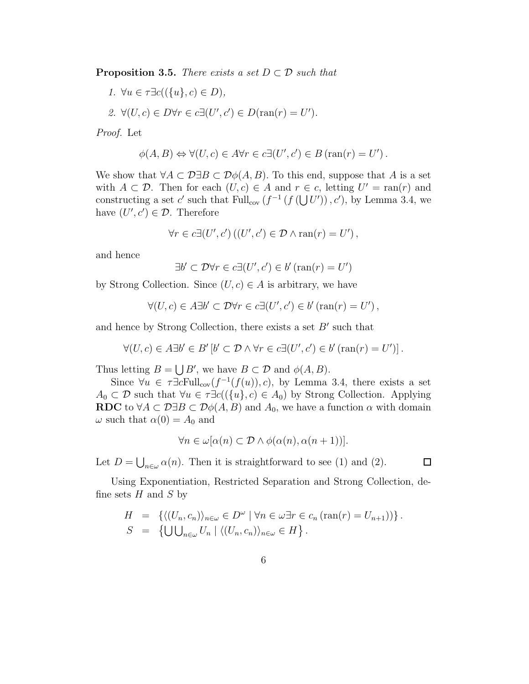**Proposition 3.5.** There exists a set  $D \subset \mathcal{D}$  such that

1.  $\forall u \in \tau \exists c ((\{u\}, c) \in D),$ 

2. 
$$
\forall (U, c) \in D \forall r \in c \exists (U', c') \in D(\text{ran}(r) = U').
$$

Proof. Let

$$
\phi(A, B) \Leftrightarrow \forall (U, c) \in A \forall r \in c \exists (U', c') \in B \text{ (ran}(r) = U') .
$$

We show that  $\forall A \subset \mathcal{D} \exists B \subset \mathcal{D} \phi(A, B)$ . To this end, suppose that A is a set with  $A \subset \mathcal{D}$ . Then for each  $(U, c) \in A$  and  $r \in c$ , letting  $U' = \text{ran}(r)$  and constructing a set c' such that  $\text{Full}_{\text{cov}}(f^{-1}(f(\bigcup U')), c')$ , by Lemma 3.4, we have  $(U', c') \in \mathcal{D}$ . Therefore

$$
\forall r \in c \exists (U', c') ((U', c') \in \mathcal{D} \land \operatorname{ran}(r) = U'),
$$

and hence

$$
\exists b' \subset \mathcal{D} \forall r \in c \exists (U', c') \in b' \, (\text{ran}(r) = U')
$$

by Strong Collection. Since  $(U, c) \in A$  is arbitrary, we have

$$
\forall (U, c) \in A \exists b' \subset \mathcal{D} \forall r \in c \exists (U', c') \in b' \left( \text{ran}(r) = U' \right),
$$

and hence by Strong Collection, there exists a set  $B'$  such that

$$
\forall (U, c) \in A \exists b' \in B' \left[ b' \subset \mathcal{D} \land \forall r \in c \exists (U', c') \in b' \left( \operatorname{ran}(r) = U' \right) \right].
$$

Thus letting  $B = \bigcup B'$ , we have  $B \subset \mathcal{D}$  and  $\phi(A, B)$ .

Since  $\forall u \in \tau \exists c \text{Full}_{cov}(f^{-1}(f(u)), c)$ , by Lemma 3.4, there exists a set  $A_0 \subset \mathcal{D}$  such that  $\forall u \in \tau \exists c ((\{u\}, c) \in A_0)$  by Strong Collection. Applying RDC to  $\forall A \subset \mathcal{D} \exists B \subset \mathcal{D} \phi(A, B)$  and  $A_0$ , we have a function  $\alpha$  with domain  $\omega$  such that  $\alpha(0) = A_0$  and

$$
\forall n \in \omega[\alpha(n) \subset \mathcal{D} \land \phi(\alpha(n), \alpha(n+1))].
$$

Let  $D = \bigcup_{n \in \omega} \alpha(n)$ . Then it is straightforward to see (1) and (2).

 $\Box$ 

Using Exponentiation, Restricted Separation and Strong Collection, define sets  $H$  and  $S$  by

$$
H = \{ \langle (U_n, c_n) \rangle_{n \in \omega} \in D^{\omega} \mid \forall n \in \omega \exists r \in c_n (\text{ran}(r) = U_{n+1}) \rangle \}.
$$
  

$$
S = \{ \bigcup \bigcup_{n \in \omega} U_n \mid \langle (U_n, c_n) \rangle_{n \in \omega} \in H \}.
$$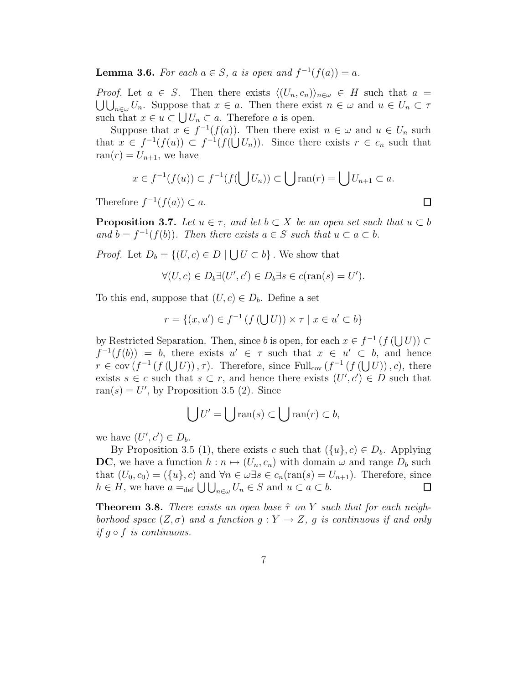**Lemma 3.6.** For each  $a \in S$ , a is open and  $f^{-1}(f(a)) = a$ .

*Proof.* Let  $a \in S$ . Then there exists  $\langle (U_n, c_n) \rangle_{n \in \omega} \in H$  such that  $a =$  $\bigcup_{n\in\omega}U_n$ . Suppose that  $x\in a$ . Then there exist  $n\in\omega$  and  $u\in U_n\subset\tau$ such that  $x \in u \subset \bigcup U_n \subset a$ . Therefore a is open.

Suppose that  $x \in f^{-1}(f(a))$ . Then there exist  $n \in \omega$  and  $u \in U_n$  such that  $x \in f^{-1}(f(u)) \subset f^{-1}(f(\bigcup U_n))$ . Since there exists  $r \in c_n$  such that ran(r) =  $U_{n+1}$ , we have

$$
x \in f^{-1}(f(u)) \subset f^{-1}(f(\bigcup U_n)) \subset \bigcup \operatorname{ran}(r) = \bigcup U_{n+1} \subset a.
$$

Therefore  $f^{-1}(f(a)) \subset a$ .

**Proposition 3.7.** Let  $u \in \tau$ , and let  $b \subset X$  be an open set such that  $u \subset b$ and  $b = f^{-1}(f(b))$ . Then there exists  $a \in S$  such that  $u \subset a \subset b$ .

*Proof.* Let  $D_b = \{(U, c) \in D \mid \bigcup U \subset b\}$ . We show that

$$
\forall (U, c) \in D_b \exists (U', c') \in D_b \exists s \in c(\text{ran}(s) = U').
$$

To this end, suppose that  $(U, c) \in D_b$ . Define a set

$$
r = \{(x, u') \in f^{-1}(f(\bigcup U)) \times \tau \mid x \in u' \subset b\}
$$

by Restricted Separation. Then, since b is open, for each  $x \in f^{-1}(f(\bigcup U)) \subset$  $f^{-1}(f(b)) = b$ , there exists  $u' \in \tau$  such that  $x \in u' \subset b$ , and hence  $r \in \text{cov}(f^{-1}(f(\bigcup U)), \tau)$ . Therefore, since Full<sub>cov</sub>  $(f^{-1}(f(\bigcup U)), c)$ , there exists  $s \in c$  such that  $s \subset r$ , and hence there exists  $(U', c') \in D$  such that  $ran(s) = U'$ , by Proposition 3.5 (2). Since

$$
\bigcup U' = \bigcup \text{ran}(s) \subset \bigcup \text{ran}(r) \subset b,
$$

we have  $(U', c') \in D_b$ .

By Proposition 3.5 (1), there exists c such that  $({u}, c) \in D_b$ . Applying **DC**, we have a function  $h : n \mapsto (U_n, c_n)$  with domain  $\omega$  and range  $D_b$  such that  $(U_0, c_0) = (\{u\}, c)$  and  $\forall n \in \omega \exists s \in c_n(\text{ran}(s) = U_{n+1})$ . Therefore, since  $h \in H$ , we have  $a =_{def} \bigcup \bigcup_{n \in \omega} U_n \in S$  and  $u \subset a \subset b$ .  $\Box$ 

**Theorem 3.8.** There exists an open base  $\hat{\tau}$  on Y such that for each neighborhood space  $(Z, \sigma)$  and a function  $g: Y \to Z$ , g is continuous if and only if  $q \circ f$  is continuous.

 $\Box$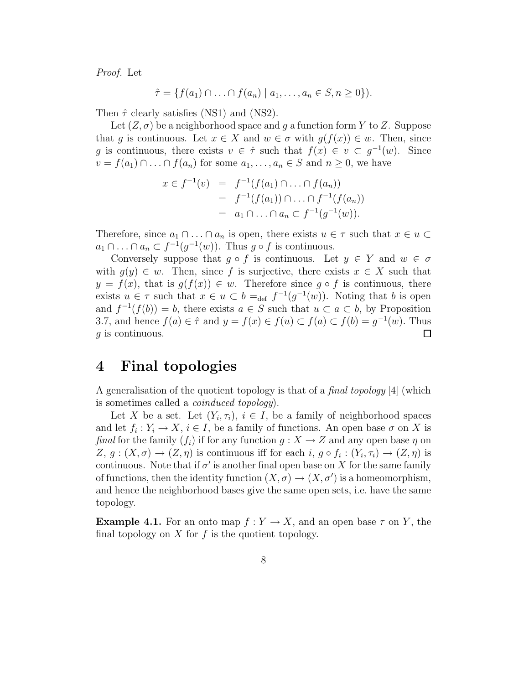Proof. Let

$$
\hat{\tau} = \{ f(a_1) \cap \ldots \cap f(a_n) \mid a_1, \ldots, a_n \in S, n \geq 0 \} ).
$$

Then  $\hat{\tau}$  clearly satisfies (NS1) and (NS2).

Let  $(Z, \sigma)$  be a neighborhood space and g a function form Y to Z. Suppose that q is continuous. Let  $x \in X$  and  $w \in \sigma$  with  $q(f(x)) \in w$ . Then, since g is continuous, there exists  $v \in \hat{\tau}$  such that  $f(x) \in v \subset g^{-1}(w)$ . Since  $v = f(a_1) \cap \ldots \cap f(a_n)$  for some  $a_1, \ldots, a_n \in S$  and  $n \geq 0$ , we have

$$
x \in f^{-1}(v) = f^{-1}(f(a_1) \cap \ldots \cap f(a_n))
$$
  
=  $f^{-1}(f(a_1)) \cap \ldots \cap f^{-1}(f(a_n))$   
=  $a_1 \cap \ldots \cap a_n \subset f^{-1}(g^{-1}(w)).$ 

Therefore, since  $a_1 \cap \ldots \cap a_n$  is open, there exists  $u \in \tau$  such that  $x \in u \subset$  $a_1 \cap \ldots \cap a_n \subset f^{-1}(g^{-1}(w))$ . Thus  $g \circ f$  is continuous.

Conversely suppose that  $g \circ f$  is continuous. Let  $y \in Y$  and  $w \in \sigma$ with  $g(y) \in w$ . Then, since f is surjective, there exists  $x \in X$  such that  $y = f(x)$ , that is  $g(f(x)) \in w$ . Therefore since  $g \circ f$  is continuous, there exists  $u \in \tau$  such that  $x \in u \subset b =_{def} f^{-1}(g^{-1}(w))$ . Noting that b is open and  $f^{-1}(f(b)) = b$ , there exists  $a \in S$  such that  $u \subset a \subset b$ , by Proposition 3.7, and hence  $f(a) \in \hat{\tau}$  and  $y = f(x) \in f(u) \subset f(a) \subset f(b) = g^{-1}(w)$ . Thus g is continuous.  $\Box$ 

#### 4 Final topologies

A generalisation of the quotient topology is that of a *final topology* [4] (which is sometimes called a coinduced topology).

Let X be a set. Let  $(Y_i, \tau_i)$ ,  $i \in I$ , be a family of neighborhood spaces and let  $f_i: Y_i \to X, i \in I$ , be a family of functions. An open base  $\sigma$  on X is final for the family  $(f_i)$  if for any function  $g: X \to Z$  and any open base  $\eta$  on  $Z, g: (X, \sigma) \to (Z, \eta)$  is continuous iff for each  $i, g \circ f_i: (Y_i, \tau_i) \to (Z, \eta)$  is continuous. Note that if  $\sigma'$  is another final open base on X for the same family of functions, then the identity function  $(X, \sigma) \to (X, \sigma')$  is a homeomorphism, and hence the neighborhood bases give the same open sets, i.e. have the same topology.

**Example 4.1.** For an onto map  $f: Y \to X$ , and an open base  $\tau$  on Y, the final topology on  $X$  for  $f$  is the quotient topology.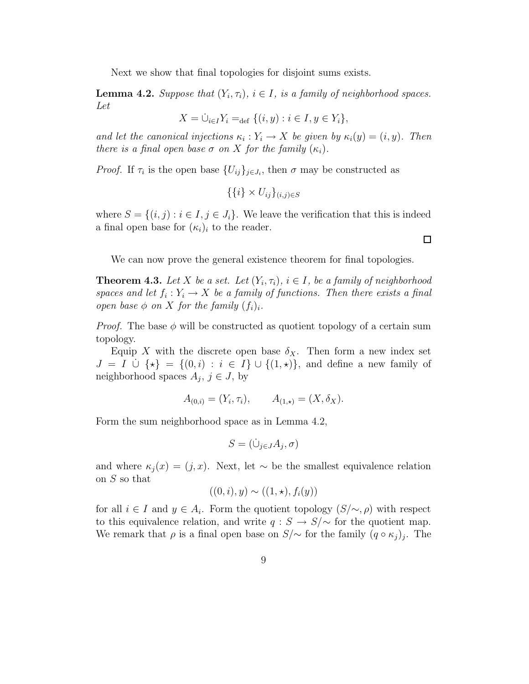Next we show that final topologies for disjoint sums exists.

**Lemma 4.2.** Suppose that  $(Y_i, \tau_i)$ ,  $i \in I$ , is a family of neighborhood spaces. Let

$$
X = \dot{\cup}_{i \in I} Y_i =_{\text{def}} \{ (i, y) : i \in I, y \in Y_i \},
$$

and let the canonical injections  $\kappa_i : Y_i \to X$  be given by  $\kappa_i(y) = (i, y)$ . Then there is a final open base  $\sigma$  on X for the family  $(\kappa_i)$ .

*Proof.* If  $\tau_i$  is the open base  $\{U_{ij}\}_{j\in J_i}$ , then  $\sigma$  may be constructed as

 $\{\{i\} \times U_{ij}\}_{(i,j) \in S}$ 

where  $S = \{(i, j) : i \in I, j \in J_i\}$ . We leave the verification that this is indeed a final open base for  $(\kappa_i)_i$  to the reader.

We can now prove the general existence theorem for final topologies.

**Theorem 4.3.** Let X be a set. Let  $(Y_i, \tau_i)$ ,  $i \in I$ , be a family of neighborhood spaces and let  $f_i: Y_i \to X$  be a family of functions. Then there exists a final open base  $\phi$  on X for the family  $(f_i)_i$ .

*Proof.* The base  $\phi$  will be constructed as quotient topology of a certain sum topology.

Equip X with the discrete open base  $\delta_X$ . Then form a new index set  $J = I \cup {\star} = \{(0, i) : i \in I\} \cup \{(1, \star)\}\)$ , and define a new family of neighborhood spaces  $A_j$ ,  $j \in J$ , by

$$
A_{(0,i)} = (Y_i, \tau_i), \qquad A_{(1,\star)} = (X, \delta_X).
$$

Form the sum neighborhood space as in Lemma 4.2,

$$
S = (\dot{\cup}_{j \in J} A_j, \sigma)
$$

and where  $\kappa_i(x) = (j, x)$ . Next, let ∼ be the smallest equivalence relation on S so that

$$
((0,i),y) \sim ((1,\star),f_i(y))
$$

for all  $i \in I$  and  $y \in A_i$ . Form the quotient topology  $(S/\sim, \rho)$  with respect to this equivalence relation, and write  $q : S \to S/\sim$  for the quotient map. We remark that  $\rho$  is a final open base on  $S/\sim$  for the family  $(q \circ \kappa_j)_j$ . The

 $\Box$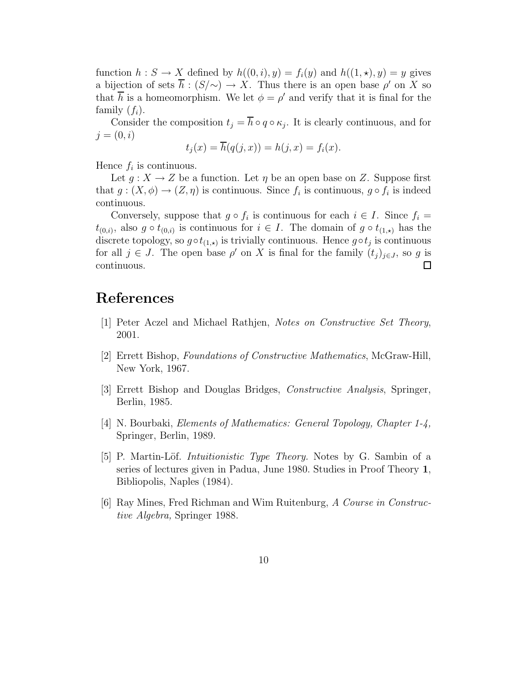function  $h: S \to X$  defined by  $h((0, i), y) = f_i(y)$  and  $h((1, \star), y) = y$  gives a bijection of sets  $\overline{h}$  :  $(S/\sim) \to X$ . Thus there is an open base  $\rho'$  on X so that  $\overline{h}$  is a homeomorphism. We let  $\phi = \rho'$  and verify that it is final for the family  $(f_i)$ .

Consider the composition  $t_j = h \circ q \circ \kappa_j$ . It is clearly continuous, and for  $j = (0, i)$ 

$$
t_j(x) = \overline{h}(q(j,x)) = h(j,x) = f_i(x).
$$

Hence  $f_i$  is continuous.

Let  $g: X \to Z$  be a function. Let  $\eta$  be an open base on Z. Suppose first that  $g: (X, \phi) \to (Z, \eta)$  is continuous. Since  $f_i$  is continuous,  $g \circ f_i$  is indeed continuous.

Conversely, suppose that  $g \circ f_i$  is continuous for each  $i \in I$ . Since  $f_i =$  $t_{(0,i)}$ , also  $g \circ t_{(0,i)}$  is continuous for  $i \in I$ . The domain of  $g \circ t_{(1,\star)}$  has the discrete topology, so  $g \circ t_{(1,\star)}$  is trivially continuous. Hence  $g \circ t_j$  is continuous for all  $j \in J$ . The open base  $\rho'$  on X is final for the family  $(t_j)_{j \in J}$ , so g is continuous.  $\Box$ 

### References

- [1] Peter Aczel and Michael Rathjen, Notes on Constructive Set Theory, 2001.
- [2] Errett Bishop, Foundations of Constructive Mathematics, McGraw-Hill, New York, 1967.
- [3] Errett Bishop and Douglas Bridges, Constructive Analysis, Springer, Berlin, 1985.
- [4] N. Bourbaki, Elements of Mathematics: General Topology, Chapter 1-4, Springer, Berlin, 1989.
- [5] P. Martin-Löf. *Intuitionistic Type Theory*. Notes by G. Sambin of a series of lectures given in Padua, June 1980. Studies in Proof Theory 1, Bibliopolis, Naples (1984).
- [6] Ray Mines, Fred Richman and Wim Ruitenburg, A Course in Constructive Algebra, Springer 1988.